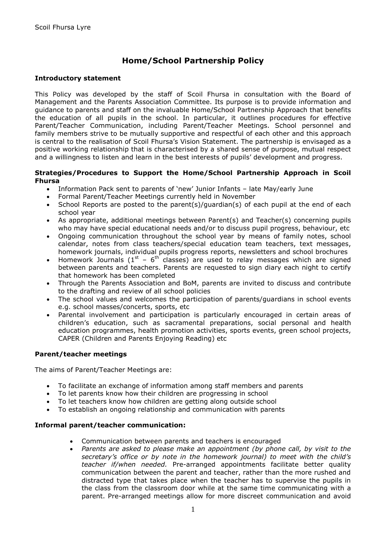# **Home/School Partnership Policy**

## **Introductory statement**

This Policy was developed by the staff of Scoil Fhursa in consultation with the Board of Management and the Parents Association Committee. Its purpose is to provide information and guidance to parents and staff on the invaluable Home/School Partnership Approach that benefits the education of all pupils in the school. In particular, it outlines procedures for effective Parent/Teacher Communication, including Parent/Teacher Meetings. School personnel and family members strive to be mutually supportive and respectful of each other and this approach is central to the realisation of Scoil Fhursa's Vision Statement. The partnership is envisaged as a positive working relationship that is characterised by a shared sense of purpose, mutual respect and a willingness to listen and learn in the best interests of pupils' development and progress.

## **Strategies/Procedures to Support the Home/School Partnership Approach in Scoil Fhursa**

- Information Pack sent to parents of 'new' Junior Infants late May/early June
- Formal Parent/Teacher Meetings currently held in November
- School Reports are posted to the parent(s)/guardian(s) of each pupil at the end of each school year
- As appropriate, additional meetings between Parent(s) and Teacher(s) concerning pupils who may have special educational needs and/or to discuss pupil progress, behaviour, etc
- Ongoing communication throughout the school year by means of family notes, school calendar, notes from class teachers/special education team teachers, text messages, homework journals, individual pupils progress reports, newsletters and school brochures
- Homework Journals ( $1^{st}$   $6^{th}$  classes) are used to relay messages which are signed between parents and teachers. Parents are requested to sign diary each night to certify that homework has been completed
- Through the Parents Association and BoM, parents are invited to discuss and contribute to the drafting and review of all school policies
- The school values and welcomes the participation of parents/guardians in school events e.g. school masses/concerts, sports, etc
- Parental involvement and participation is particularly encouraged in certain areas of children's education, such as sacramental preparations, social personal and health education programmes, health promotion activities, sports events, green school projects, CAPER (Children and Parents Enjoying Reading) etc

# **Parent/teacher meetings**

The aims of Parent/Teacher Meetings are:

- To facilitate an exchange of information among staff members and parents
- To let parents know how their children are progressing in school
- To let teachers know how children are getting along outside school
- To establish an ongoing relationship and communication with parents

## **Informal parent/teacher communication:**

- Communication between parents and teachers is encouraged
- *Parents are asked to please make an appointment (by phone call, by visit to the secretary's office or by note in the homework journal) to meet with the child's teacher if/when needed.* Pre-arranged appointments facilitate better quality communication between the parent and teacher, rather than the more rushed and distracted type that takes place when the teacher has to supervise the pupils in the class from the classroom door while at the same time communicating with a parent. Pre-arranged meetings allow for more discreet communication and avoid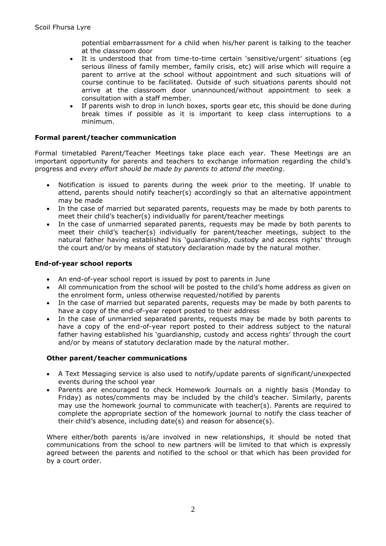potential embarrassment for a child when his/her parent is talking to the teacher at the classroom door

- It is understood that from time-to-time certain 'sensitive/urgent' situations (eg serious illness of family member, family crisis, etc) will arise which will require a parent to arrive at the school without appointment and such situations will of course continue to be facilitated. Outside of such situations parents should not arrive at the classroom door unannounced/without appointment to seek a consultation with a staff member.
- If parents wish to drop in lunch boxes, sports gear etc, this should be done during break times if possible as it is important to keep class interruptions to a minimum.

## **Formal parent/teacher communication**

Formal timetabled Parent/Teacher Meetings take place each year. These Meetings are an important opportunity for parents and teachers to exchange information regarding the child's progress and *every effort should be made by parents to attend the meeting*.

- Notification is issued to parents during the week prior to the meeting. If unable to attend, parents should notify teacher(s) accordingly so that an alternative appointment may be made
- In the case of married but separated parents, requests may be made by both parents to meet their child's teacher(s) individually for parent/teacher meetings
- In the case of unmarried separated parents, requests may be made by both parents to meet their child's teacher(s) individually for parent/teacher meetings, subject to the natural father having established his 'guardianship, custody and access rights' through the court and/or by means of statutory declaration made by the natural mother.

## **End-of-year school reports**

- An end-of-year school report is issued by post to parents in June
- All communication from the school will be posted to the child's home address as given on the enrolment form, unless otherwise requested/notified by parents
- In the case of married but separated parents, requests may be made by both parents to have a copy of the end-of-year report posted to their address
- In the case of unmarried separated parents, requests may be made by both parents to have a copy of the end-of-year report posted to their address subject to the natural father having established his 'guardianship, custody and access rights' through the court and/or by means of statutory declaration made by the natural mother.

## **Other parent/teacher communications**

- A Text Messaging service is also used to notify/update parents of significant/unexpected events during the school year
- Parents are encouraged to check Homework Journals on a nightly basis (Monday to Friday) as notes/comments may be included by the child's teacher. Similarly, parents may use the homework journal to communicate with teacher(s). Parents are required to complete the appropriate section of the homework journal to notify the class teacher of their child's absence, including date(s) and reason for absence(s).

Where either/both parents is/are involved in new relationships, it should be noted that communications from the school to new partners will be limited to that which is expressly agreed between the parents and notified to the school or that which has been provided for by a court order.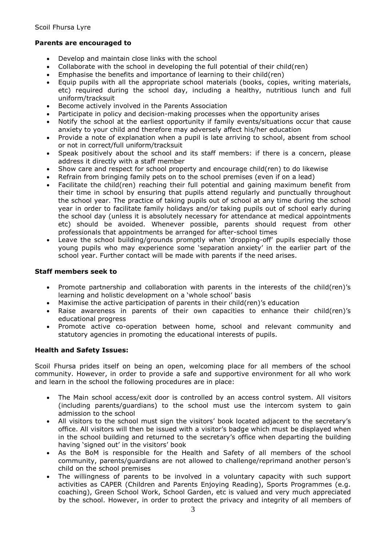# **Parents are encouraged to**

- Develop and maintain close links with the school
- Collaborate with the school in developing the full potential of their child(ren)
- Emphasise the benefits and importance of learning to their child(ren)
- Equip pupils with all the appropriate school materials (books, copies, writing materials, etc) required during the school day, including a healthy, nutritious lunch and full uniform/tracksuit
- Become actively involved in the Parents Association
- Participate in policy and decision-making processes when the opportunity arises
- Notify the school at the earliest opportunity if family events/situations occur that cause anxiety to your child and therefore may adversely affect his/her education
- Provide a note of explanation when a pupil is late arriving to school, absent from school or not in correct/full uniform/tracksuit
- Speak positively about the school and its staff members: if there is a concern, please address it directly with a staff member
- Show care and respect for school property and encourage child(ren) to do likewise
- Refrain from bringing family pets on to the school premises (even if on a lead)
- Facilitate the child(ren) reaching their full potential and gaining maximum benefit from their time in school by ensuring that pupils attend regularly and punctually throughout the school year. The practice of taking pupils out of school at any time during the school year in order to facilitate family holidays and/or taking pupils out of school early during the school day (unless it is absolutely necessary for attendance at medical appointments etc) should be avoided. Whenever possible, parents should request from other professionals that appointments be arranged for after-school times
- Leave the school building/grounds promptly when 'dropping-off' pupils especially those young pupils who may experience some 'separation anxiety' in the earlier part of the school year. Further contact will be made with parents if the need arises.

# **Staff members seek to**

- Promote partnership and collaboration with parents in the interests of the child(ren)'s learning and holistic development on a 'whole school' basis
- Maximise the active participation of parents in their child(ren)'s education
- Raise awareness in parents of their own capacities to enhance their child(ren)'s educational progress
- Promote active co-operation between home, school and relevant community and statutory agencies in promoting the educational interests of pupils.

# **Health and Safety Issues:**

Scoil Fhursa prides itself on being an open, welcoming place for all members of the school community. However, in order to provide a safe and supportive environment for all who work and learn in the school the following procedures are in place:

- The Main school access/exit door is controlled by an access control system. All visitors (including parents/guardians) to the school must use the intercom system to gain admission to the school
- All visitors to the school must sign the visitors' book located adjacent to the secretary's office. All visitors will then be issued with a visitor's badge which must be displayed when in the school building and returned to the secretary's office when departing the building having 'signed out' in the visitors' book
- As the BoM is responsible for the Health and Safety of all members of the school community, parents/guardians are not allowed to challenge/reprimand another person's child on the school premises
- The willingness of parents to be involved in a voluntary capacity with such support activities as CAPER (Children and Parents Enjoying Reading), Sports Programmes (e.g. coaching), Green School Work, School Garden, etc is valued and very much appreciated by the school. However, in order to protect the privacy and integrity of all members of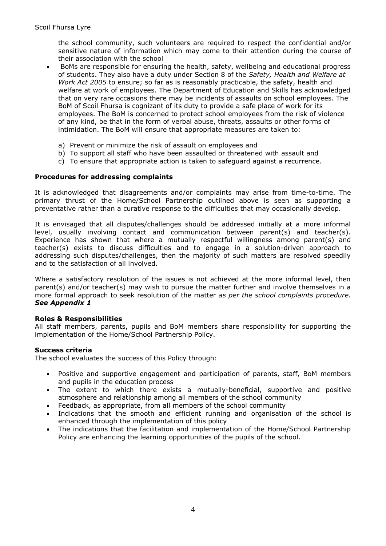the school community, such volunteers are required to respect the confidential and/or sensitive nature of information which may come to their attention during the course of their association with the school

- BoMs are responsible for ensuring the health, safety, wellbeing and educational progress of students. They also have a duty under Section 8 of the *Safety, Health and Welfare at Work Act 2005* to ensure; so far as is reasonably practicable, the safety, health and welfare at work of employees. The Department of Education and Skills has acknowledged that on very rare occasions there may be incidents of assaults on school employees. The BoM of Scoil Fhursa is cognizant of its duty to provide a safe place of work for its employees. The BoM is concerned to protect school employees from the risk of violence of any kind, be that in the form of verbal abuse, threats, assaults or other forms of intimidation. The BoM will ensure that appropriate measures are taken to:
	- a) Prevent or minimize the risk of assault on employees and
	- b) To support all staff who have been assaulted or threatened with assault and
	- c) To ensure that appropriate action is taken to safeguard against a recurrence.

## **Procedures for addressing complaints**

It is acknowledged that disagreements and/or complaints may arise from time-to-time. The primary thrust of the Home/School Partnership outlined above is seen as supporting a preventative rather than a curative response to the difficulties that may occasionally develop.

It is envisaged that all disputes/challenges should be addressed initially at a more informal level, usually involving contact and communication between parent(s) and teacher(s). Experience has shown that where a mutually respectful willingness among parent(s) and teacher(s) exists to discuss difficulties and to engage in a solution-driven approach to addressing such disputes/challenges, then the majority of such matters are resolved speedily and to the satisfaction of all involved.

Where a satisfactory resolution of the issues is not achieved at the more informal level, then parent(s) and/or teacher(s) may wish to pursue the matter further and involve themselves in a more formal approach to seek resolution of the matter *as per the school complaints procedure. See Appendix 1*

## **Roles & Responsibilities**

All staff members, parents, pupils and BoM members share responsibility for supporting the implementation of the Home/School Partnership Policy.

## **Success criteria**

The school evaluates the success of this Policy through:

- Positive and supportive engagement and participation of parents, staff, BoM members and pupils in the education process
- The extent to which there exists a mutually-beneficial, supportive and positive atmosphere and relationship among all members of the school community
- Feedback, as appropriate, from all members of the school community
- Indications that the smooth and efficient running and organisation of the school is enhanced through the implementation of this policy
- The indications that the facilitation and implementation of the Home/School Partnership Policy are enhancing the learning opportunities of the pupils of the school.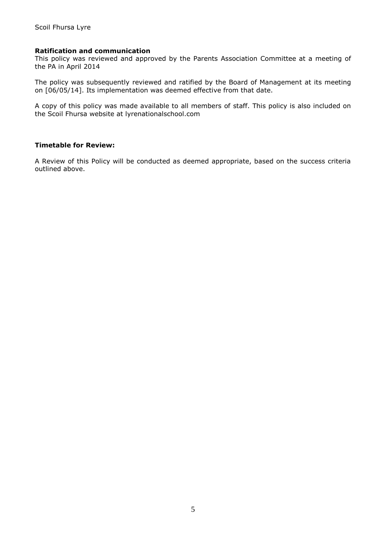## **Ratification and communication**

This policy was reviewed and approved by the Parents Association Committee at a meeting of the PA in April 2014

The policy was subsequently reviewed and ratified by the Board of Management at its meeting on [06/05/14]. Its implementation was deemed effective from that date.

A copy of this policy was made available to all members of staff. This policy is also included on the Scoil Fhursa website at lyrenationalschool.com

## **Timetable for Review:**

A Review of this Policy will be conducted as deemed appropriate, based on the success criteria outlined above.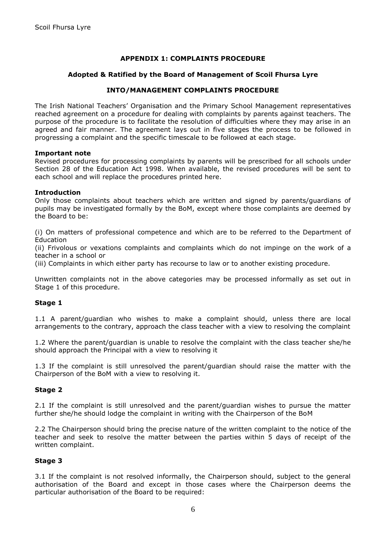# **APPENDIX 1: COMPLAINTS PROCEDURE**

## **Adopted & Ratified by the Board of Management of Scoil Fhursa Lyre**

# **INTO/MANAGEMENT COMPLAINTS PROCEDURE**

The Irish National Teachers' Organisation and the Primary School Management representatives reached agreement on a procedure for dealing with complaints by parents against teachers. The purpose of the procedure is to facilitate the resolution of difficulties where they may arise in an agreed and fair manner. The agreement lays out in five stages the process to be followed in progressing a complaint and the specific timescale to be followed at each stage.

## **Important note**

Revised procedures for processing complaints by parents will be prescribed for all schools under Section 28 of the Education Act 1998. When available, the revised procedures will be sent to each school and will replace the procedures printed here.

## **Introduction**

Only those complaints about teachers which are written and signed by parents/guardians of pupils may be investigated formally by the BoM, except where those complaints are deemed by the Board to be:

(i) On matters of professional competence and which are to be referred to the Department of **Education** 

(ii) Frivolous or vexations complaints and complaints which do not impinge on the work of a teacher in a school or

(iii) Complaints in which either party has recourse to law or to another existing procedure.

Unwritten complaints not in the above categories may be processed informally as set out in Stage 1 of this procedure.

## **Stage 1**

1.1 A parent/guardian who wishes to make a complaint should, unless there are local arrangements to the contrary, approach the class teacher with a view to resolving the complaint

1.2 Where the parent/guardian is unable to resolve the complaint with the class teacher she/he should approach the Principal with a view to resolving it

1.3 If the complaint is still unresolved the parent/guardian should raise the matter with the Chairperson of the BoM with a view to resolving it.

## **Stage 2**

2.1 If the complaint is still unresolved and the parent/guardian wishes to pursue the matter further she/he should lodge the complaint in writing with the Chairperson of the BoM

2.2 The Chairperson should bring the precise nature of the written complaint to the notice of the teacher and seek to resolve the matter between the parties within 5 days of receipt of the written complaint.

## **Stage 3**

3.1 If the complaint is not resolved informally, the Chairperson should, subject to the general authorisation of the Board and except in those cases where the Chairperson deems the particular authorisation of the Board to be required: